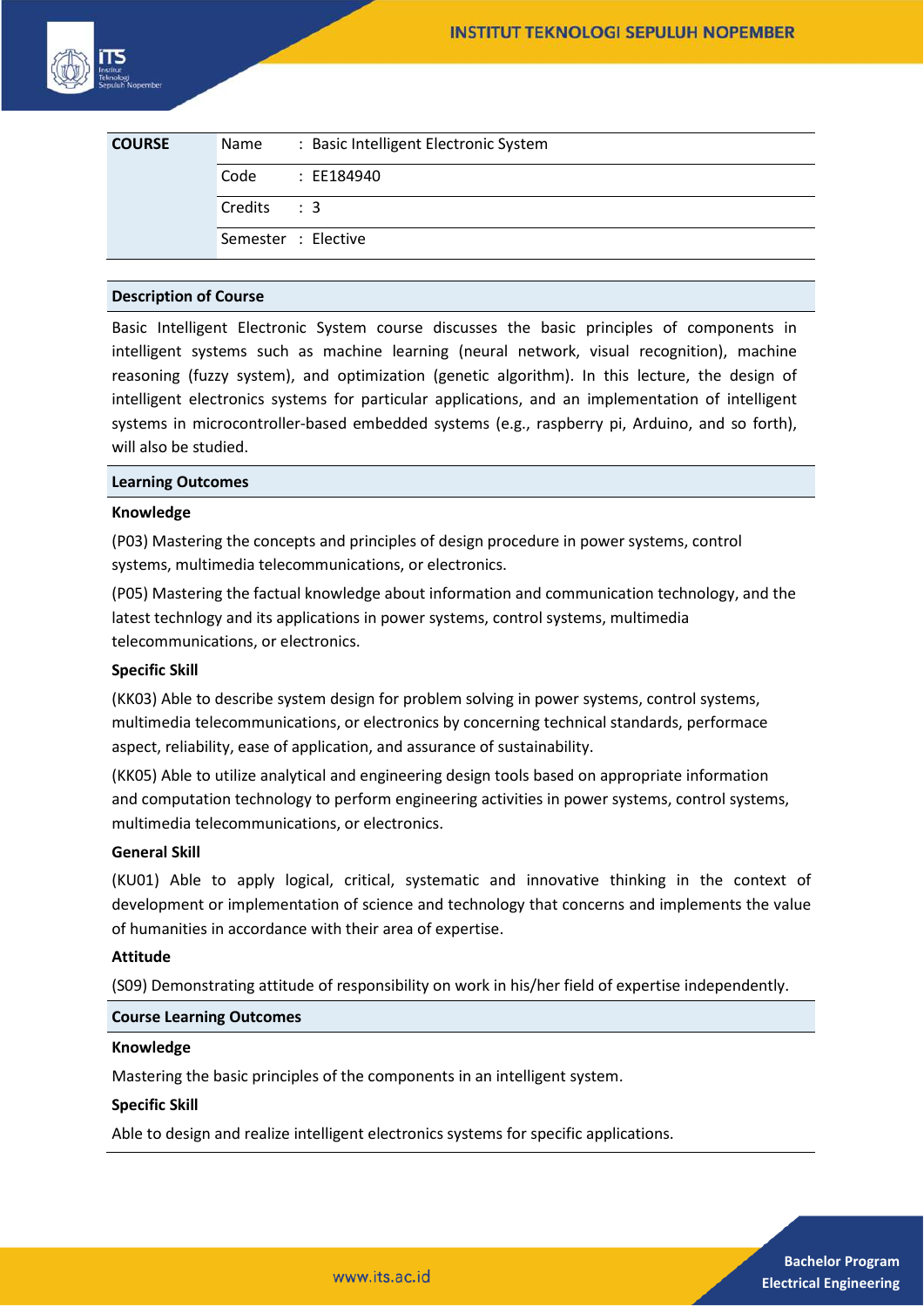| <b>COURSE</b> | Name        | : Basic Intelligent Electronic System |
|---------------|-------------|---------------------------------------|
|               | Code        | : EE184940                            |
|               | Credits : 3 |                                       |
|               |             | Semester : Elective                   |

## **Description of Course**

Basic Intelligent Electronic System course discusses the basic principles of components in intelligent systems such as machine learning (neural network, visual recognition), machine reasoning (fuzzy system), and optimization (genetic algorithm). In this lecture, the design of intelligent electronics systems for particular applications, and an implementation of intelligent systems in microcontroller-based embedded systems (e.g., raspberry pi, Arduino, and so forth), will also be studied.

#### **Learning Outcomes**

## **Knowledge**

(P03) Mastering the concepts and principles of design procedure in power systems, control systems, multimedia telecommunications, or electronics.

(P05) Mastering the factual knowledge about information and communication technology, and the latest technlogy and its applications in power systems, control systems, multimedia telecommunications, or electronics.

# **Specific Skill**

(KK03) Able to describe system design for problem solving in power systems, control systems, multimedia telecommunications, or electronics by concerning technical standards, performace aspect, reliability, ease of application, and assurance of sustainability.

(KK05) Able to utilize analytical and engineering design tools based on appropriate information and computation technology to perform engineering activities in power systems, control systems, multimedia telecommunications, or electronics.

## **General Skill**

(KU01) Able to apply logical, critical, systematic and innovative thinking in the context of development or implementation of science and technology that concerns and implements the value of humanities in accordance with their area of expertise.

## **Attitude**

(S09) Demonstrating attitude of responsibility on work in his/her field of expertise independently.

## **Course Learning Outcomes**

#### **Knowledge**

Mastering the basic principles of the components in an intelligent system.

#### **Specific Skill**

Able to design and realize intelligent electronics systems for specific applications.